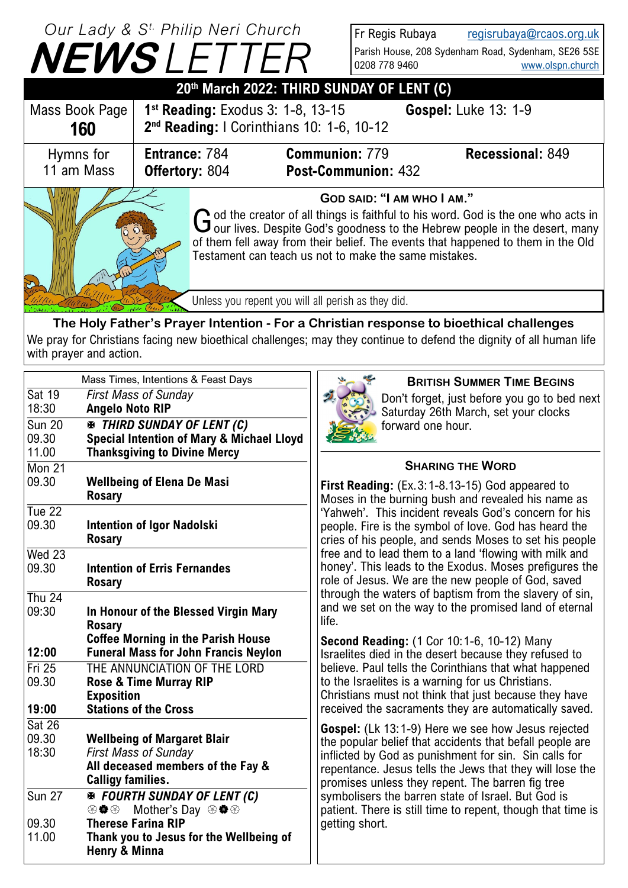| Our Lady & S <sup>t.</sup> Philip Neri Church<br><b>NEWSLETTER</b> |                                               |                                                                                                                                                                                                                                                                                                                                               | Fr Regis Rubaya<br>0208 778 9460                                                             | regisrubaya@rcaos.org.uk<br>Parish House, 208 Sydenham Road, Sydenham, SE26 5SE<br>www.olspn.church |                             |  |  |
|--------------------------------------------------------------------|-----------------------------------------------|-----------------------------------------------------------------------------------------------------------------------------------------------------------------------------------------------------------------------------------------------------------------------------------------------------------------------------------------------|----------------------------------------------------------------------------------------------|-----------------------------------------------------------------------------------------------------|-----------------------------|--|--|
| 20th March 2022: THIRD SUNDAY OF LENT (C)                          |                                               |                                                                                                                                                                                                                                                                                                                                               |                                                                                              |                                                                                                     |                             |  |  |
| Mass Book Page<br>160                                              |                                               |                                                                                                                                                                                                                                                                                                                                               | $1st$ Reading: Exodus 3: 1-8, 13-15<br>2 <sup>nd</sup> Reading: I Corinthians 10: 1-6, 10-12 |                                                                                                     | <b>Gospel: Luke 13: 1-9</b> |  |  |
| Hymns for<br>11 am Mass                                            | <b>Entrance: 784</b><br><b>Offertory: 804</b> |                                                                                                                                                                                                                                                                                                                                               | <b>Communion: 779</b>                                                                        | <b>Post-Communion: 432</b>                                                                          | <b>Recessional: 849</b>     |  |  |
|                                                                    |                                               | GOD SAID: "I AM WHO I AM."<br>G od the creator of all things is faithful to his word. God is the one who acts in<br>G our lives. Despite God's goodness to the Hebrew people in the desert, many<br>of them fell away from their belief. The events that happened to them in the Old<br>Testament can teach us not to make the same mistakes. |                                                                                              |                                                                                                     |                             |  |  |
|                                                                    |                                               | Unless you repent you will all perish as they did.                                                                                                                                                                                                                                                                                            |                                                                                              |                                                                                                     |                             |  |  |

**The Holy Father's Prayer Intention - For a Christian response to bioethical challenges** We pray for Christians facing new bioethical challenges; may they continue to defend the dignity of all human life with prayer and action.

| Mass Times, Intentions & Feast Days       |                                                                                                                                                     | <b>BRITISH SUMMER TIME BEGINS</b>                                                                                                                                                                                                                                                                                                                  |  |  |
|-------------------------------------------|-----------------------------------------------------------------------------------------------------------------------------------------------------|----------------------------------------------------------------------------------------------------------------------------------------------------------------------------------------------------------------------------------------------------------------------------------------------------------------------------------------------------|--|--|
| <b>Sat 19</b><br>18:30<br>Sum 20<br>09.30 | <b>First Mass of Sunday</b><br><b>Angelo Noto RIP</b><br><b>EX THIRD SUNDAY OF LENT (C)</b><br><b>Special Intention of Mary &amp; Michael Lloyd</b> | Don't forget, just before you go to bed next<br>Saturday 26th March, set your clocks<br>forward one hour.                                                                                                                                                                                                                                          |  |  |
| 11.00<br><b>Mon 21</b>                    | <b>Thanksgiving to Divine Mercy</b>                                                                                                                 | <b>SHARING THE WORD</b>                                                                                                                                                                                                                                                                                                                            |  |  |
| 09.30                                     | <b>Wellbeing of Elena De Masi</b><br><b>Rosary</b>                                                                                                  | First Reading: (Ex.3:1-8.13-15) God appeared to<br>Moses in the burning bush and revealed his name as                                                                                                                                                                                                                                              |  |  |
| Tue $22$<br>09.30                         | <b>Intention of Igor Nadolski</b><br><b>Rosary</b>                                                                                                  | 'Yahweh'. This incident reveals God's concern for his<br>people. Fire is the symbol of love. God has heard the<br>cries of his people, and sends Moses to set his people<br>free and to lead them to a land 'flowing with milk and<br>honey'. This leads to the Exodus. Moses prefigures the<br>role of Jesus. We are the new people of God, saved |  |  |
| Wed 23<br>09.30                           | <b>Intention of Erris Fernandes</b><br><b>Rosary</b>                                                                                                |                                                                                                                                                                                                                                                                                                                                                    |  |  |
| Thu $24$<br>09:30                         | In Honour of the Blessed Virgin Mary<br><b>Rosary</b>                                                                                               | through the waters of baptism from the slavery of sin,<br>and we set on the way to the promised land of eternal<br>life.                                                                                                                                                                                                                           |  |  |
| 12:00                                     | <b>Coffee Morning in the Parish House</b><br><b>Funeral Mass for John Francis Neylon</b>                                                            | <b>Second Reading: (1 Cor 10:1-6, 10-12) Many</b><br>Israelites died in the desert because they refused to                                                                                                                                                                                                                                         |  |  |
| $Fri$ 25<br>09.30<br>19:00                | THE ANNUNCIATION OF THE LORD<br><b>Rose &amp; Time Murray RIP</b><br><b>Exposition</b><br><b>Stations of the Cross</b>                              | believe. Paul tells the Corinthians that what happened<br>to the Israelites is a warning for us Christians.<br>Christians must not think that just because they have<br>received the sacraments they are automatically saved.                                                                                                                      |  |  |
| Sat 26<br>09.30<br>18:30                  | <b>Wellbeing of Margaret Blair</b><br><b>First Mass of Sunday</b><br>All deceased members of the Fay &<br><b>Calligy families.</b>                  | Gospel: (Lk 13:1-9) Here we see how Jesus rejected<br>the popular belief that accidents that befall people are<br>inflicted by God as punishment for sin. Sin calls for<br>repentance. Jesus tells the Jews that they will lose the<br>promises unless they repent. The barren fig tree                                                            |  |  |
| <b>Sun 27</b><br>09.30                    | <b>※ FOURTH SUNDAY OF LENT (C)</b><br>Mother's Day <sup>⊛</sup> <a><br/>發費發<br/><b>Therese Farina RIP</b></a>                                       | symbolisers the barren state of Israel. But God is<br>patient. There is still time to repent, though that time is<br>getting short.                                                                                                                                                                                                                |  |  |
| 11.00                                     | Thank you to Jesus for the Wellbeing of<br>Henry & Minna                                                                                            |                                                                                                                                                                                                                                                                                                                                                    |  |  |